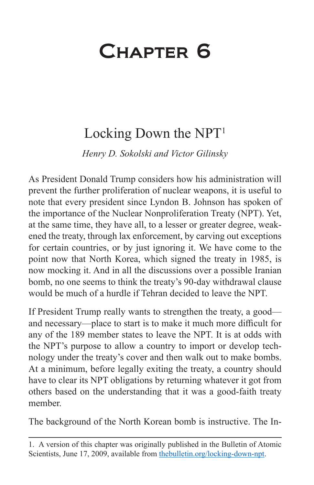## Chapter 6

## Locking Down the  $NPT<sup>1</sup>$

*Henry D. Sokolski and Victor Gilinsky*

As President Donald Trump considers how his administration will prevent the further proliferation of nuclear weapons, it is useful to note that every president since Lyndon B. Johnson has spoken of the importance of the Nuclear Nonproliferation Treaty (NPT). Yet, at the same time, they have all, to a lesser or greater degree, weakened the treaty, through lax enforcement, by carving out exceptions for certain countries, or by just ignoring it. We have come to the point now that North Korea, which signed the treaty in 1985, is now mocking it. And in all the discussions over a possible Iranian bomb, no one seems to think the treaty's 90-day withdrawal clause would be much of a hurdle if Tehran decided to leave the NPT.

If President Trump really wants to strengthen the treaty, a good and necessary—place to start is to make it much more difficult for any of the 189 member states to leave the NPT. It is at odds with the NPT's purpose to allow a country to import or develop technology under the treaty's cover and then walk out to make bombs. At a minimum, before legally exiting the treaty, a country should have to clear its NPT obligations by returning whatever it got from others based on the understanding that it was a good-faith treaty member.

The background of the North Korean bomb is instructive. The In-

<sup>1.</sup> A version of this chapter was originally published in the Bulletin of Atomic Scientists, June 17, 2009, available from [thebulletin.org/locking-down-npt.](http://thebulletin.org/locking-down-npt)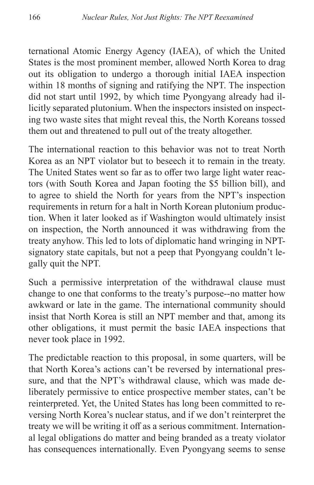ternational Atomic Energy Agency (IAEA), of which the United States is the most prominent member, allowed North Korea to drag out its obligation to undergo a thorough initial IAEA inspection within 18 months of signing and ratifying the NPT. The inspection did not start until 1992, by which time Pyongyang already had illicitly separated plutonium. When the inspectors insisted on inspecting two waste sites that might reveal this, the North Koreans tossed them out and threatened to pull out of the treaty altogether.

The international reaction to this behavior was not to treat North Korea as an NPT violator but to beseech it to remain in the treaty. The United States went so far as to offer two large light water reactors (with South Korea and Japan footing the \$5 billion bill), and to agree to shield the North for years from the NPT's inspection requirements in return for a halt in North Korean plutonium production. When it later looked as if Washington would ultimately insist on inspection, the North announced it was withdrawing from the treaty anyhow. This led to lots of diplomatic hand wringing in NPTsignatory state capitals, but not a peep that Pyongyang couldn't legally quit the NPT.

Such a permissive interpretation of the withdrawal clause must change to one that conforms to the treaty's purpose--no matter how awkward or late in the game. The international community should insist that North Korea is still an NPT member and that, among its other obligations, it must permit the basic IAEA inspections that never took place in 1992.

The predictable reaction to this proposal, in some quarters, will be that North Korea's actions can't be reversed by international pressure, and that the NPT's withdrawal clause, which was made deliberately permissive to entice prospective member states, can't be reinterpreted. Yet, the United States has long been committed to reversing North Korea's nuclear status, and if we don't reinterpret the treaty we will be writing it off as a serious commitment. International legal obligations do matter and being branded as a treaty violator has consequences internationally. Even Pyongyang seems to sense